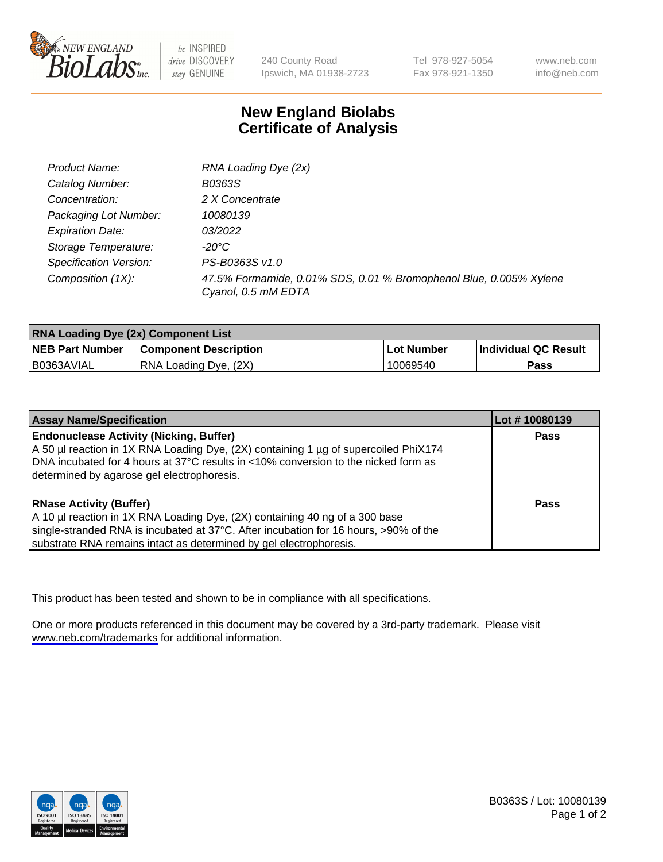

be INSPIRED drive DISCOVERY stay GENUINE

240 County Road Ipswich, MA 01938-2723

Tel 978-927-5054 Fax 978-921-1350

www.neb.com info@neb.com

## **New England Biolabs Certificate of Analysis**

| Product Name:           | RNA Loading Dye (2x)                                                                      |
|-------------------------|-------------------------------------------------------------------------------------------|
| Catalog Number:         | B0363S                                                                                    |
| Concentration:          | 2 X Concentrate                                                                           |
| Packaging Lot Number:   | 10080139                                                                                  |
| <b>Expiration Date:</b> | <i>03/2022</i>                                                                            |
| Storage Temperature:    | -20°C                                                                                     |
| Specification Version:  | PS-B0363S v1.0                                                                            |
| Composition (1X):       | 47.5% Formamide, 0.01% SDS, 0.01 % Bromophenol Blue, 0.005% Xylene<br>Cyanol, 0.5 mM EDTA |

| <b>RNA Loading Dye (2x) Component List</b> |                              |              |                      |  |
|--------------------------------------------|------------------------------|--------------|----------------------|--|
| <b>NEB Part Number</b>                     | <b>Component Description</b> | . Lot Number | Individual QC Result |  |
| B0363AVIAL                                 | RNA Loading Dye, (2X)        | 10069540     | <b>Pass</b>          |  |

| <b>Assay Name/Specification</b>                                                      | Lot #10080139 |
|--------------------------------------------------------------------------------------|---------------|
| <b>Endonuclease Activity (Nicking, Buffer)</b>                                       | <b>Pass</b>   |
| A 50 µl reaction in 1X RNA Loading Dye, (2X) containing 1 µg of supercoiled PhiX174  |               |
| DNA incubated for 4 hours at 37°C results in <10% conversion to the nicked form as   |               |
| determined by agarose gel electrophoresis.                                           |               |
| <b>RNase Activity (Buffer)</b>                                                       | Pass          |
| A 10 µl reaction in 1X RNA Loading Dye, (2X) containing 40 ng of a 300 base          |               |
| single-stranded RNA is incubated at 37°C. After incubation for 16 hours, >90% of the |               |
| substrate RNA remains intact as determined by gel electrophoresis.                   |               |

This product has been tested and shown to be in compliance with all specifications.

One or more products referenced in this document may be covered by a 3rd-party trademark. Please visit <www.neb.com/trademarks>for additional information.